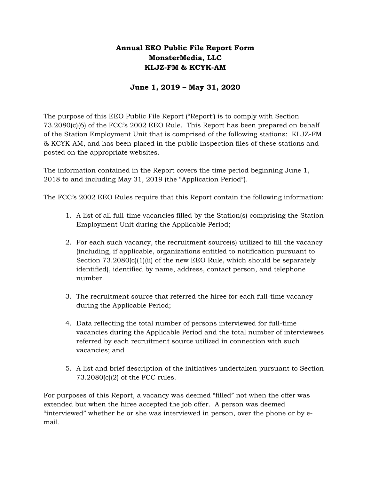### Annual EEO Public File Report Form MonsterMedia, LLC KLJZ-FM & KCYK-AM

#### June 1, 2019 – May 31, 2020

The purpose of this EEO Public File Report ("Report') is to comply with Section 73.2080(c)(6) of the FCC's 2002 EEO Rule. This Report has been prepared on behalf of the Station Employment Unit that is comprised of the following stations: KLJZ-FM & KCYK-AM, and has been placed in the public inspection files of these stations and posted on the appropriate websites.

The information contained in the Report covers the time period beginning June 1, 2018 to and including May 31, 2019 (the "Application Period").

The FCC's 2002 EEO Rules require that this Report contain the following information:

- 1. A list of all full-time vacancies filled by the Station(s) comprising the Station Employment Unit during the Applicable Period;
- 2. For each such vacancy, the recruitment source(s) utilized to fill the vacancy (including, if applicable, organizations entitled to notification pursuant to Section  $73.2080(c)(1)(ii)$  of the new EEO Rule, which should be separately identified), identified by name, address, contact person, and telephone number.
- 3. The recruitment source that referred the hiree for each full-time vacancy during the Applicable Period;
- 4. Data reflecting the total number of persons interviewed for full-time vacancies during the Applicable Period and the total number of interviewees referred by each recruitment source utilized in connection with such vacancies; and
- 5. A list and brief description of the initiatives undertaken pursuant to Section 73.2080(c)(2) of the FCC rules.

For purposes of this Report, a vacancy was deemed "filled" not when the offer was extended but when the hiree accepted the job offer. A person was deemed "interviewed" whether he or she was interviewed in person, over the phone or by email.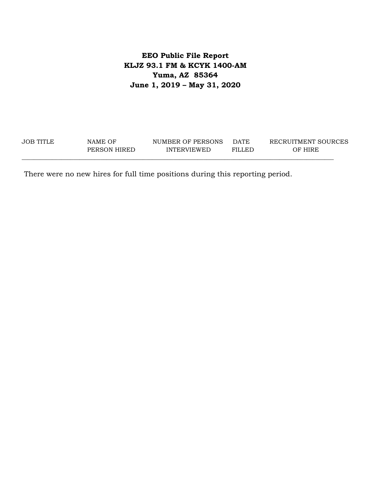## **EEO Public File Report KLJZ 93.1 FM & KCYK 1400-AM Yuma, AZ 85364 June 1, 2019 – May 31, 2020**

| JOB TITLE | NAME OF      | NUMBER OF PERSONS  | <b>DATE</b> | RECRUITMENT SOURCES |
|-----------|--------------|--------------------|-------------|---------------------|
|           | PERSON HIRED | <b>INTERVIEWED</b> | FILLED      | OF HIRE             |

There were no new hires for full time positions during this reporting period.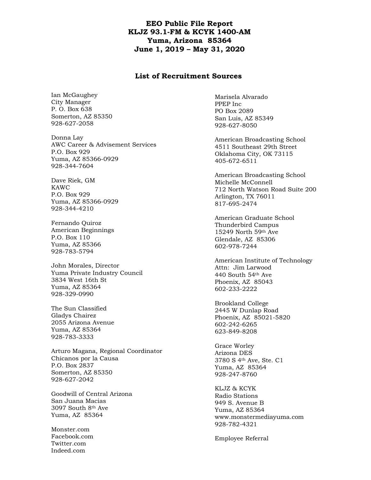#### **EEO Public File Report KLJZ 93.1-FM & KCYK 1400-AM Yuma, Arizona 85364 June 1, 2019 – May 31, 2020**

#### **List of Recruitment Sources**

Ian McGaughey City Manager P. O. Box 638 Somerton, AZ 85350 928-627-2058

Donna Lay AWC Career & Advisement Services P.O. Box 929 Yuma, AZ 85366-0929 928-344-7604

Dave Riek, GM KAWC P.O. Box 929 Yuma, AZ 85366-0929 928-344-4210

Fernando Quiroz American Beginnings P.O. Box 110 Yuma, AZ 85366 928-783-5794

John Morales, Director Yuma Private Industry Council 3834 West 16th St Yuma, AZ 85364 928-329-0990

The Sun Classified Gladys Chairez 2055 Arizona Avenue Yuma, AZ 85364 928-783-3333

Arturo Magana, Regional Coordinator Chicanos por la Causa P.O. Box 2837 Somerton, AZ 85350 928-627-2042

Goodwill of Central Arizona San Juana Macias 3097 South 8th Ave Yuma, AZ 85364

Monster.com Facebook.com Twitter.com Indeed.com

Marisela Alvarado PPEP Inc PO Box 2089 San Luis, AZ 85349 928-627-8050

American Broadcasting School 4511 Southeast 29th Street Oklahoma City, OK 73115 405-672-6511

American Broadcasting School Michelle McConnell 712 North Watson Road Suite 200 Arlington, TX 76011 817-695-2474

American Graduate School Thunderbird Campus 15249 North 59th Ave Glendale, AZ 85306 602-978-7244

American Institute of Technology Attn: Jim Larwood 440 South 54th Ave Phoenix, AZ 85043 602-233-2222

Brookland College 2445 W Dunlap Road Phoenix, AZ 85021-5820 602-242-6265 623-849-8208

Grace Worley Arizona DES 3780 S 4th Ave, Ste. C1 Yuma, AZ 85364 928-247-8760

KLJZ & KCYK Radio Stations 949 S. Avenue B Yuma, AZ 85364 www.monstermediayuma.com 928-782-4321

Employee Referral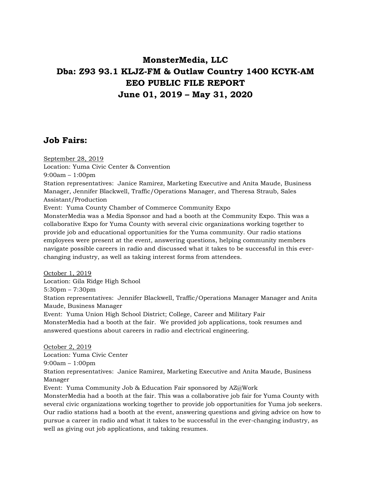# **MonsterMedia, LLC Dba: Z93 93.1 KLJZ-FM & Outlaw Country 1400 KCYK-AM EEO PUBLIC FILE REPORT June 01, 2019 – May 31, 2020**

## **Job Fairs:**

September 28, 2019 Location: Yuma Civic Center & Convention 9:00am – 1:00pm Station representatives: Janice Ramirez, Marketing Executive and Anita Maude, Business Manager, Jennifer Blackwell, Traffic/Operations Manager, and Theresa Straub, Sales Assistant/Production Event: Yuma County Chamber of Commerce Community Expo MonsterMedia was a Media Sponsor and had a booth at the Community Expo. This was a collaborative Expo for Yuma County with several civic organizations working together to provide job and educational opportunities for the Yuma community. Our radio stations employees were present at the event, answering questions, helping community members navigate possible careers in radio and discussed what it takes to be successful in this everchanging industry, as well as taking interest forms from attendees.

October 1, 2019 Location: Gila Ridge High School 5:30pm – 7:30pm Station representatives: Jennifer Blackwell, Traffic/Operations Manager Manager and Anita Maude, Business Manager Event: Yuma Union High School District; College, Career and Military Fair MonsterMedia had a booth at the fair. We provided job applications, took resumes and answered questions about careers in radio and electrical engineering.

October 2, 2019 Location: Yuma Civic Center 9:00am – 1:00pm Station representatives: Janice Ramirez, Marketing Executive and Anita Maude, Business Manager Event: Yuma Community Job & Education Fair sponsored by AZ@Work MonsterMedia had a booth at the fair. This was a collaborative job fair for Yuma County with several civic organizations working together to provide job opportunities for Yuma job seekers. Our radio stations had a booth at the event, answering questions and giving advice on how to pursue a career in radio and what it takes to be successful in the ever-changing industry, as

well as giving out job applications, and taking resumes.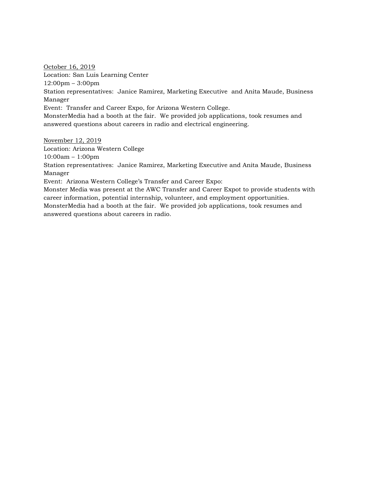October 16, 2019 Location: San Luis Learning Center 12:00pm – 3:00pm Station representatives: Janice Ramirez, Marketing Executive and Anita Maude, Business Manager Event: Transfer and Career Expo, for Arizona Western College. MonsterMedia had a booth at the fair. We provided job applications, took resumes and answered questions about careers in radio and electrical engineering.

November 12, 2019

Location: Arizona Western College

10:00am – 1:00pm

Station representatives: Janice Ramirez, Marketing Executive and Anita Maude, Business Manager

Event: Arizona Western College's Transfer and Career Expo:

Monster Media was present at the AWC Transfer and Career Expot to provide students with career information, potential internship, volunteer, and employment opportunities. MonsterMedia had a booth at the fair. We provided job applications, took resumes and answered questions about careers in radio.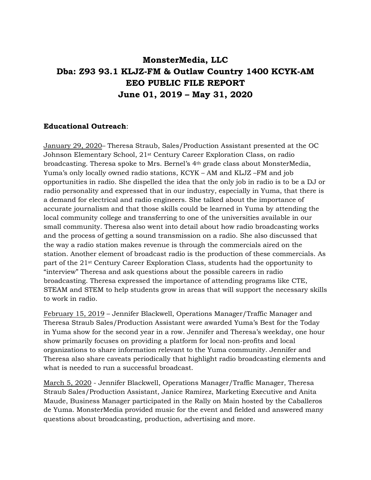# **MonsterMedia, LLC Dba: Z93 93.1 KLJZ-FM & Outlaw Country 1400 KCYK-AM EEO PUBLIC FILE REPORT June 01, 2019 – May 31, 2020**

#### **Educational Outreach**:

January 29, 2020– Theresa Straub, Sales/Production Assistant presented at the OC Johnson Elementary School, 21st Century Career Exploration Class, on radio broadcasting. Theresa spoke to Mrs. Bernel's 4th grade class about MonsterMedia, Yuma's only locally owned radio stations, KCYK – AM and KLJZ –FM and job opportunities in radio. She dispelled the idea that the only job in radio is to be a DJ or radio personality and expressed that in our industry, especially in Yuma, that there is a demand for electrical and radio engineers. She talked about the importance of accurate journalism and that those skills could be learned in Yuma by attending the local community college and transferring to one of the universities available in our small community. Theresa also went into detail about how radio broadcasting works and the process of getting a sound transmission on a radio. She also discussed that the way a radio station makes revenue is through the commercials aired on the station. Another element of broadcast radio is the production of these commercials. As part of the 21st Century Career Exploration Class, students had the opportunity to "interview" Theresa and ask questions about the possible careers in radio broadcasting. Theresa expressed the importance of attending programs like CTE, STEAM and STEM to help students grow in areas that will support the necessary skills to work in radio.

February 15, 2019 – Jennifer Blackwell, Operations Manager/Traffic Manager and Theresa Straub Sales/Production Assistant were awarded Yuma's Best for the Today in Yuma show for the second year in a row. Jennifer and Theresa's weekday, one hour show primarily focuses on providing a platform for local non-profits and local organizations to share information relevant to the Yuma community. Jennifer and Theresa also share caveats periodically that highlight radio broadcasting elements and what is needed to run a successful broadcast.

March 5, 2020 - Jennifer Blackwell, Operations Manager/Traffic Manager, Theresa Straub Sales/Production Assistant, Janice Ramirez, Marketing Executive and Anita Maude, Business Manager participated in the Rally on Main hosted by the Caballeros de Yuma. MonsterMedia provided music for the event and fielded and answered many questions about broadcasting, production, advertising and more.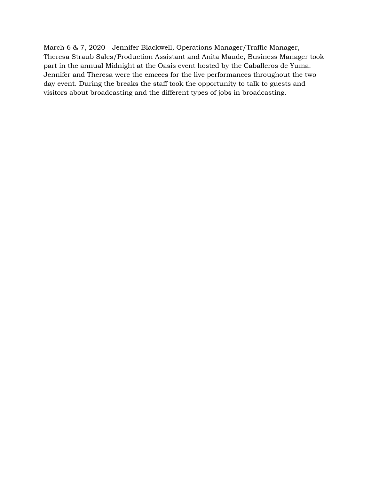March 6 & 7, 2020 - Jennifer Blackwell, Operations Manager/Traffic Manager, Theresa Straub Sales/Production Assistant and Anita Maude, Business Manager took part in the annual Midnight at the Oasis event hosted by the Caballeros de Yuma. Jennifer and Theresa were the emcees for the live performances throughout the two day event. During the breaks the staff took the opportunity to talk to guests and visitors about broadcasting and the different types of jobs in broadcasting.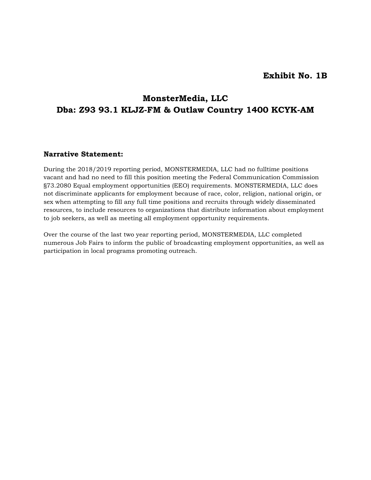#### **Exhibit No. 1B**

## **MonsterMedia, LLC Dba: Z93 93.1 KLJZ-FM & Outlaw Country 1400 KCYK-AM**

#### **Narrative Statement:**

During the 2018/2019 reporting period, MONSTERMEDIA, LLC had no fulltime positions vacant and had no need to fill this position meeting the Federal Communication Commission §73.2080 Equal employment opportunities (EEO) requirements. MONSTERMEDIA, LLC does not discriminate applicants for employment because of race, color, religion, national origin, or sex when attempting to fill any full time positions and recruits through widely disseminated resources, to include resources to organizations that distribute information about employment to job seekers, as well as meeting all employment opportunity requirements.

Over the course of the last two year reporting period, MONSTERMEDIA, LLC completed numerous Job Fairs to inform the public of broadcasting employment opportunities, as well as participation in local programs promoting outreach.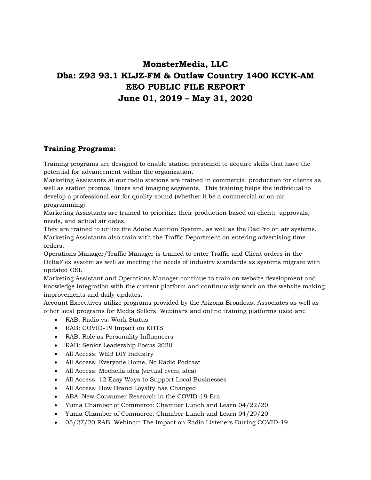# **MonsterMedia, LLC Dba: Z93 93.1 KLJZ-FM & Outlaw Country 1400 KCYK-AM EEO PUBLIC FILE REPORT June 01, 2019 – May 31, 2020**

### **Training Programs:**

Training programs are designed to enable station personnel to acquire skills that have the potential for advancement within the organization.

Marketing Assistants at our radio stations are trained in commercial production for clients as well as station promos, liners and imaging segments. This training helps the individual to develop a professional ear for quality sound (whether it be a commercial or on-air programming).

Marketing Assistants are trained to prioritize their production based on client: approvals, needs, and actual air dates.

They are trained to utilize the Adobe Audition System, as well as the DadPro on air systems. Marketing Assistants also train with the Traffic Department on entering advertising time orders.

Operations Manager/Traffic Manager is trained to enter Traffic and Client orders in the DeltaFlex system as well as meeting the needs of industry standards as systems migrate with updated OSI.

Marketing Assistant and Operations Manager continue to train on website development and knowledge integration with the current platform and continuously work on the website making improvements and daily updates.

Account Executives utilize programs provided by the Arizona Broadcast Associates as well as other local programs for Media Sellers. Webinars and online training platforms used are:

- RAB: Radio vs. Work Status
- RAB: COVID-19 Impact on KHTS
- RAB: Role as Personality Influencers
- RAB: Senior Leadership Focus 2020
- All Access: WEB DIY Industry
- All Access: Everyone Home, No Radio Podcast
- All Access: Mochella idea (virtual event idea)
- All Access: 12 Easy Ways to Support Local Businesses
- All Access: How Brand Loyalty has Changed
- ABA: New Consumer Research in the COVID-19 Era
- Yuma Chamber of Commerce: Chamber Lunch and Learn 04/22/20
- Yuma Chamber of Commerce: Chamber Lunch and Learn 04/29/20
- 05/27/20 RAB: Webinar: The Impact on Radio Listeners During COVID-19